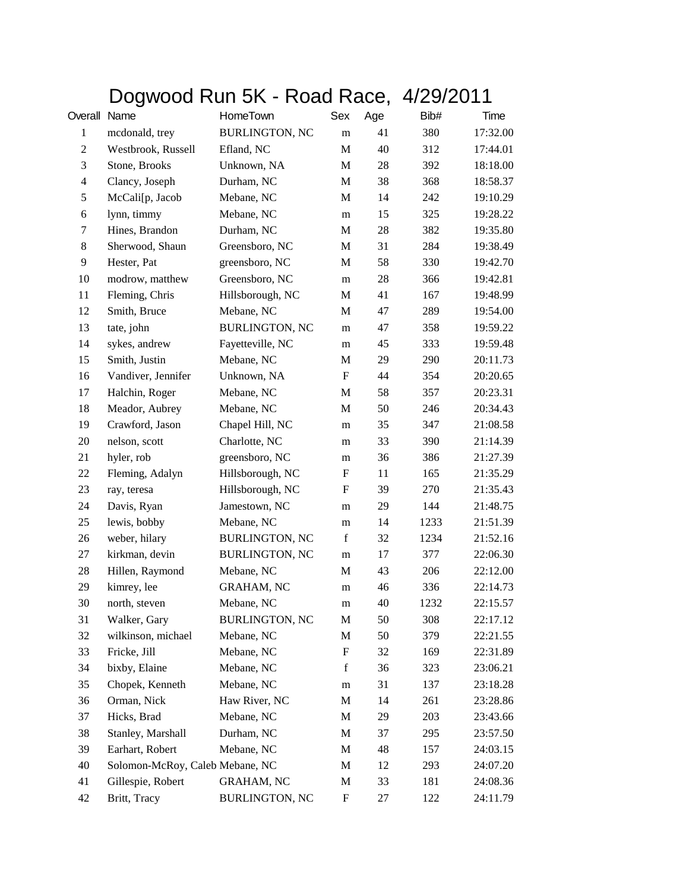## Dogwood Run 5K - Road Race, 4/29/2011

| Overall                 | Name                            | HomeTown              | Sex                       | Age | Bib# | Time     |
|-------------------------|---------------------------------|-----------------------|---------------------------|-----|------|----------|
| $\mathbf{1}$            | mcdonald, trey                  | <b>BURLINGTON, NC</b> | m                         | 41  | 380  | 17:32.00 |
| $\overline{c}$          | Westbrook, Russell              | Efland, NC            | M                         | 40  | 312  | 17:44.01 |
| 3                       | Stone, Brooks                   | Unknown, NA           | M                         | 28  | 392  | 18:18.00 |
| $\overline{\mathbf{4}}$ | Clancy, Joseph                  | Durham, NC            | M                         | 38  | 368  | 18:58.37 |
| 5                       | McCali[p, Jacob                 | Mebane, NC            | M                         | 14  | 242  | 19:10.29 |
| 6                       | lynn, timmy                     | Mebane, NC            | m                         | 15  | 325  | 19:28.22 |
| 7                       | Hines, Brandon                  | Durham, NC            | M                         | 28  | 382  | 19:35.80 |
| 8                       | Sherwood, Shaun                 | Greensboro, NC        | M                         | 31  | 284  | 19:38.49 |
| 9                       | Hester, Pat                     | greensboro, NC        | M                         | 58  | 330  | 19:42.70 |
| 10                      | modrow, matthew                 | Greensboro, NC        | m                         | 28  | 366  | 19:42.81 |
| 11                      | Fleming, Chris                  | Hillsborough, NC      | $\mathbf M$               | 41  | 167  | 19:48.99 |
| 12                      | Smith, Bruce                    | Mebane, NC            | M                         | 47  | 289  | 19:54.00 |
| 13                      | tate, john                      | <b>BURLINGTON, NC</b> | m                         | 47  | 358  | 19:59.22 |
| 14                      | sykes, andrew                   | Fayetteville, NC      | m                         | 45  | 333  | 19:59.48 |
| 15                      | Smith, Justin                   | Mebane, NC            | M                         | 29  | 290  | 20:11.73 |
| 16                      | Vandiver, Jennifer              | Unknown, NA           | $\boldsymbol{\mathrm{F}}$ | 44  | 354  | 20:20.65 |
| 17                      | Halchin, Roger                  | Mebane, NC            | M                         | 58  | 357  | 20:23.31 |
| 18                      | Meador, Aubrey                  | Mebane, NC            | M                         | 50  | 246  | 20:34.43 |
| 19                      | Crawford, Jason                 | Chapel Hill, NC       | m                         | 35  | 347  | 21:08.58 |
| 20                      | nelson, scott                   | Charlotte, NC         | m                         | 33  | 390  | 21:14.39 |
| 21                      | hyler, rob                      | greensboro, NC        | m                         | 36  | 386  | 21:27.39 |
| 22                      | Fleming, Adalyn                 | Hillsborough, NC      | F                         | 11  | 165  | 21:35.29 |
| 23                      | ray, teresa                     | Hillsborough, NC      | $\boldsymbol{\mathrm{F}}$ | 39  | 270  | 21:35.43 |
| 24                      | Davis, Ryan                     | Jamestown, NC         | m                         | 29  | 144  | 21:48.75 |
| 25                      | lewis, bobby                    | Mebane, NC            | m                         | 14  | 1233 | 21:51.39 |
| 26                      | weber, hilary                   | <b>BURLINGTON, NC</b> | $\mathbf f$               | 32  | 1234 | 21:52.16 |
| 27                      | kirkman, devin                  | <b>BURLINGTON, NC</b> | m                         | 17  | 377  | 22:06.30 |
| $28\,$                  | Hillen, Raymond                 | Mebane, NC            | M                         | 43  | 206  | 22:12.00 |
| 29                      | kimrey, lee                     | <b>GRAHAM, NC</b>     | m                         | 46  | 336  | 22:14.73 |
| 30                      | north, steven                   | Mebane, NC            | m                         | 40  | 1232 | 22:15.57 |
| 31                      | Walker, Gary                    | <b>BURLINGTON, NC</b> | M                         | 50  | 308  | 22:17.12 |
| 32                      | wilkinson, michael              | Mebane, NC            | M                         | 50  | 379  | 22:21.55 |
| 33                      | Fricke, Jill                    | Mebane, NC            | F                         | 32  | 169  | 22:31.89 |
| 34                      | bixby, Elaine                   | Mebane, NC            | $\mathbf f$               | 36  | 323  | 23:06.21 |
| 35                      | Chopek, Kenneth                 | Mebane, NC            | m                         | 31  | 137  | 23:18.28 |
| 36                      | Orman, Nick                     | Haw River, NC         | $\mathbf M$               | 14  | 261  | 23:28.86 |
| 37                      | Hicks, Brad                     | Mebane, NC            | M                         | 29  | 203  | 23:43.66 |
| 38                      | Stanley, Marshall               | Durham, NC            | M                         | 37  | 295  | 23:57.50 |
| 39                      | Earhart, Robert                 | Mebane, NC            | M                         | 48  | 157  | 24:03.15 |
| 40                      | Solomon-McRoy, Caleb Mebane, NC |                       | M                         | 12  | 293  | 24:07.20 |
| 41                      | Gillespie, Robert               | <b>GRAHAM, NC</b>     | M                         | 33  | 181  | 24:08.36 |
| 42                      | Britt, Tracy                    | <b>BURLINGTON, NC</b> | $\boldsymbol{\mathrm{F}}$ | 27  | 122  | 24:11.79 |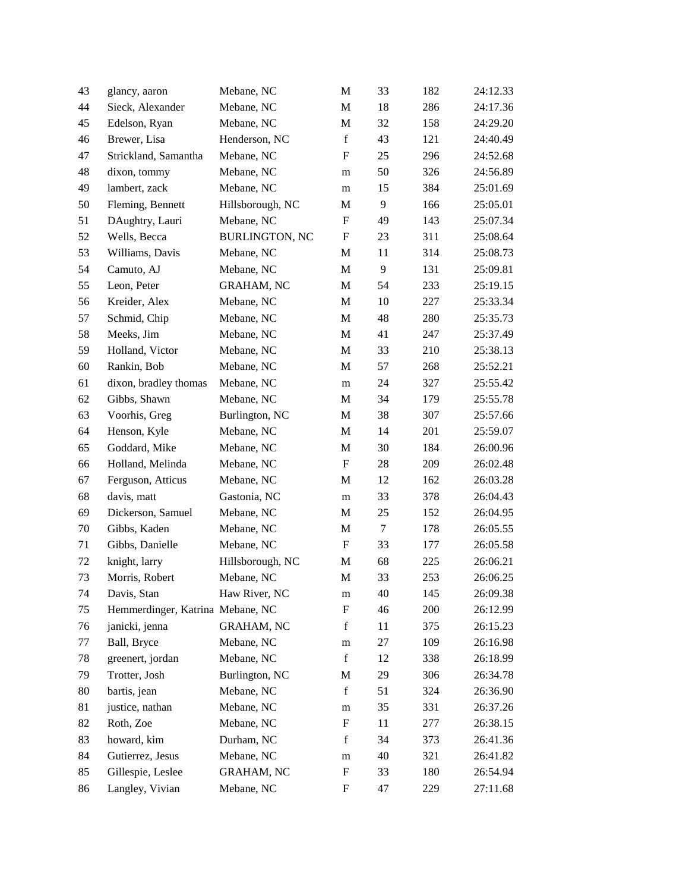| 43 | glancy, aaron                    | Mebane, NC            | M                         | 33     | 182 | 24:12.33 |
|----|----------------------------------|-----------------------|---------------------------|--------|-----|----------|
| 44 | Sieck, Alexander                 | Mebane, NC            | M                         | 18     | 286 | 24:17.36 |
| 45 | Edelson, Ryan                    | Mebane, NC            | $\mathbf M$               | 32     | 158 | 24:29.20 |
| 46 | Brewer, Lisa                     | Henderson, NC         | $\mathbf f$               | 43     | 121 | 24:40.49 |
| 47 | Strickland, Samantha             | Mebane, NC            | $\boldsymbol{\mathrm{F}}$ | 25     | 296 | 24:52.68 |
| 48 | dixon, tommy                     | Mebane, NC            | m                         | 50     | 326 | 24:56.89 |
| 49 | lambert, zack                    | Mebane, NC            | m                         | 15     | 384 | 25:01.69 |
| 50 | Fleming, Bennett                 | Hillsborough, NC      | M                         | 9      | 166 | 25:05.01 |
| 51 | DAughtry, Lauri                  | Mebane, NC            | F                         | 49     | 143 | 25:07.34 |
| 52 | Wells, Becca                     | <b>BURLINGTON, NC</b> | $\boldsymbol{\mathrm{F}}$ | 23     | 311 | 25:08.64 |
| 53 | Williams, Davis                  | Mebane, NC            | $\mathbf M$               | 11     | 314 | 25:08.73 |
| 54 | Camuto, AJ                       | Mebane, NC            | M                         | 9      | 131 | 25:09.81 |
| 55 | Leon, Peter                      | <b>GRAHAM, NC</b>     | $\mathbf M$               | 54     | 233 | 25:19.15 |
| 56 | Kreider, Alex                    | Mebane, NC            | M                         | 10     | 227 | 25:33.34 |
| 57 | Schmid, Chip                     | Mebane, NC            | M                         | 48     | 280 | 25:35.73 |
| 58 | Meeks, Jim                       | Mebane, NC            | M                         | 41     | 247 | 25:37.49 |
| 59 | Holland, Victor                  | Mebane, NC            | M                         | 33     | 210 | 25:38.13 |
| 60 | Rankin, Bob                      | Mebane, NC            | M                         | 57     | 268 | 25:52.21 |
| 61 | dixon, bradley thomas            | Mebane, NC            | ${\bf m}$                 | 24     | 327 | 25:55.42 |
| 62 | Gibbs, Shawn                     | Mebane, NC            | M                         | 34     | 179 | 25:55.78 |
| 63 | Voorhis, Greg                    | Burlington, NC        | M                         | 38     | 307 | 25:57.66 |
| 64 | Henson, Kyle                     | Mebane, NC            | M                         | 14     | 201 | 25:59.07 |
| 65 | Goddard, Mike                    | Mebane, NC            | M                         | 30     | 184 | 26:00.96 |
| 66 | Holland, Melinda                 | Mebane, NC            | $\mathbf F$               | 28     | 209 | 26:02.48 |
| 67 | Ferguson, Atticus                | Mebane, NC            | M                         | 12     | 162 | 26:03.28 |
| 68 | davis, matt                      | Gastonia, NC          | m                         | 33     | 378 | 26:04.43 |
| 69 | Dickerson, Samuel                | Mebane, NC            | M                         | 25     | 152 | 26:04.95 |
| 70 | Gibbs, Kaden                     | Mebane, NC            | M                         | $\tau$ | 178 | 26:05.55 |
| 71 | Gibbs, Danielle                  | Mebane, NC            | $\mathbf F$               | 33     | 177 | 26:05.58 |
| 72 | knight, larry                    | Hillsborough, NC      | M                         | 68     | 225 | 26:06.21 |
| 73 | Morris, Robert                   | Mebane, NC            | $\mathbf M$               | 33     | 253 | 26:06.25 |
| 74 | Davis, Stan                      | Haw River, NC         | ${\rm m}$                 | 40     | 145 | 26:09.38 |
| 75 | Hemmerdinger, Katrina Mebane, NC |                       | $\boldsymbol{\mathrm{F}}$ | 46     | 200 | 26:12.99 |
| 76 | janicki, jenna                   | <b>GRAHAM, NC</b>     | $\mathbf f$               | 11     | 375 | 26:15.23 |
| 77 | Ball, Bryce                      | Mebane, NC            | m                         | 27     | 109 | 26:16.98 |
| 78 | greenert, jordan                 | Mebane, NC            | $\mathbf f$               | 12     | 338 | 26:18.99 |
| 79 | Trotter, Josh                    | Burlington, NC        | M                         | 29     | 306 | 26:34.78 |
| 80 | bartis, jean                     | Mebane, NC            | $\mathbf f$               | 51     | 324 | 26:36.90 |
| 81 | justice, nathan                  | Mebane, NC            | ${\rm m}$                 | 35     | 331 | 26:37.26 |
| 82 | Roth, Zoe                        | Mebane, NC            | ${\bf F}$                 | 11     | 277 | 26:38.15 |
| 83 | howard, kim                      | Durham, NC            | $\mathbf f$               | 34     | 373 | 26:41.36 |
| 84 | Gutierrez, Jesus                 | Mebane, NC            | m                         | 40     | 321 | 26:41.82 |
| 85 | Gillespie, Leslee                | <b>GRAHAM, NC</b>     | $\boldsymbol{F}$          | 33     | 180 | 26:54.94 |
| 86 | Langley, Vivian                  | Mebane, NC            | F                         | 47     | 229 | 27:11.68 |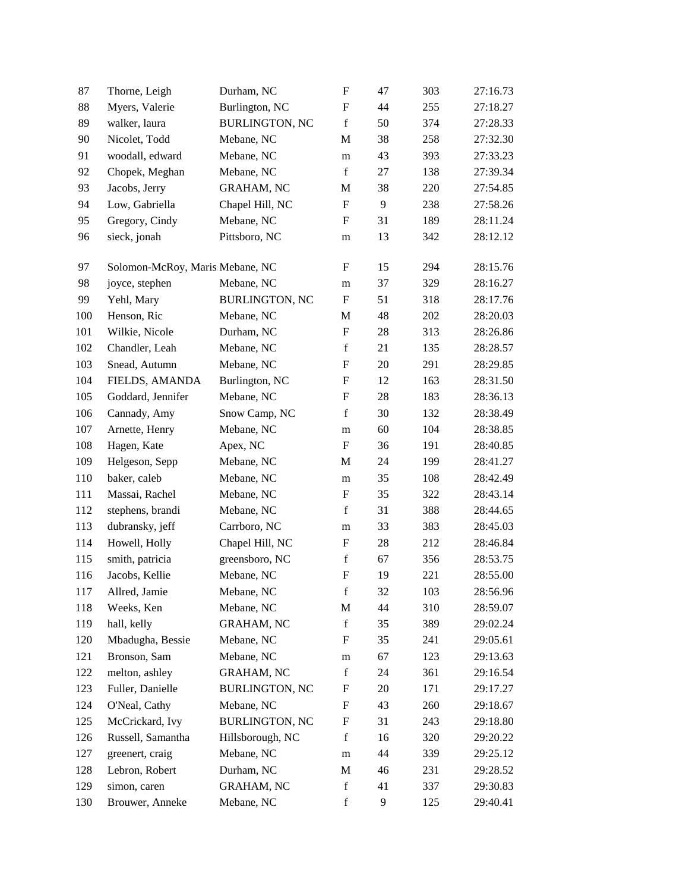| 87  | Thorne, Leigh                   | Durham, NC            | $\boldsymbol{\mathrm{F}}$      | 47 | 303 | 27:16.73 |
|-----|---------------------------------|-----------------------|--------------------------------|----|-----|----------|
| 88  | Myers, Valerie                  | Burlington, NC        | $\boldsymbol{\mathrm{F}}$      | 44 | 255 | 27:18.27 |
| 89  | walker, laura                   | <b>BURLINGTON, NC</b> | $\mathbf f$                    | 50 | 374 | 27:28.33 |
| 90  | Nicolet, Todd                   | Mebane, NC            | M                              | 38 | 258 | 27:32.30 |
| 91  | woodall, edward                 | Mebane, NC            | m                              | 43 | 393 | 27:33.23 |
| 92  | Chopek, Meghan                  | Mebane, NC            | $\mathbf f$                    | 27 | 138 | 27:39.34 |
| 93  | Jacobs, Jerry                   | <b>GRAHAM, NC</b>     | M                              | 38 | 220 | 27:54.85 |
| 94  | Low, Gabriella                  | Chapel Hill, NC       | $\boldsymbol{\mathrm{F}}$      | 9  | 238 | 27:58.26 |
| 95  | Gregory, Cindy                  | Mebane, NC            | F                              | 31 | 189 | 28:11.24 |
| 96  | sieck, jonah                    | Pittsboro, NC         | m                              | 13 | 342 | 28:12.12 |
| 97  | Solomon-McRoy, Maris Mebane, NC |                       | F                              | 15 | 294 | 28:15.76 |
| 98  | joyce, stephen                  | Mebane, NC            |                                | 37 | 329 | 28:16.27 |
| 99  | Yehl, Mary                      | <b>BURLINGTON, NC</b> | m<br>$\boldsymbol{\mathrm{F}}$ | 51 | 318 | 28:17.76 |
|     |                                 | Mebane, NC            |                                |    |     |          |
| 100 | Henson, Ric                     |                       | M                              | 48 | 202 | 28:20.03 |
| 101 | Wilkie, Nicole                  | Durham, NC            | $\boldsymbol{\mathrm{F}}$      | 28 | 313 | 28:26.86 |
| 102 | Chandler, Leah                  | Mebane, NC            | $\mathbf f$                    | 21 | 135 | 28:28.57 |
| 103 | Snead, Autumn                   | Mebane, NC            | $\boldsymbol{\mathrm{F}}$      | 20 | 291 | 28:29.85 |
| 104 | FIELDS, AMANDA                  | Burlington, NC        | $\boldsymbol{\mathrm{F}}$      | 12 | 163 | 28:31.50 |
| 105 | Goddard, Jennifer               | Mebane, NC            | $\boldsymbol{\mathrm{F}}$      | 28 | 183 | 28:36.13 |
| 106 | Cannady, Amy                    | Snow Camp, NC         | $\mathbf f$                    | 30 | 132 | 28:38.49 |
| 107 | Arnette, Henry                  | Mebane, NC            | m                              | 60 | 104 | 28:38.85 |
| 108 | Hagen, Kate                     | Apex, NC              | ${\bf F}$                      | 36 | 191 | 28:40.85 |
| 109 | Helgeson, Sepp                  | Mebane, NC            | M                              | 24 | 199 | 28:41.27 |
| 110 | baker, caleb                    | Mebane, NC            | ${\bf m}$                      | 35 | 108 | 28:42.49 |
| 111 | Massai, Rachel                  | Mebane, NC            | $\boldsymbol{\mathrm{F}}$      | 35 | 322 | 28:43.14 |
| 112 | stephens, brandi                | Mebane, NC            | $\mathbf f$                    | 31 | 388 | 28:44.65 |
| 113 | dubransky, jeff                 | Carrboro, NC          | m                              | 33 | 383 | 28:45.03 |
| 114 | Howell, Holly                   | Chapel Hill, NC       | $\boldsymbol{\mathrm{F}}$      | 28 | 212 | 28:46.84 |
| 115 | smith, patricia                 | greensboro, NC        | $\mathbf f$                    | 67 | 356 | 28:53.75 |
| 116 | Jacobs, Kellie                  | Mebane, NC            | $\boldsymbol{\mathrm{F}}$      | 19 | 221 | 28:55.00 |
| 117 | Allred, Jamie                   | Mebane, NC            | $\mathbf f$                    | 32 | 103 | 28:56.96 |
| 118 | Weeks, Ken                      | Mebane, NC            | M                              | 44 | 310 | 28:59.07 |
| 119 | hall, kelly                     | <b>GRAHAM, NC</b>     | $\mathbf f$                    | 35 | 389 | 29:02.24 |
| 120 | Mbadugha, Bessie                | Mebane, NC            | F                              | 35 | 241 | 29:05.61 |
| 121 | Bronson, Sam                    | Mebane, NC            | m                              | 67 | 123 | 29:13.63 |
| 122 | melton, ashley                  | <b>GRAHAM, NC</b>     | $\mathbf f$                    | 24 | 361 | 29:16.54 |
| 123 | Fuller, Danielle                | <b>BURLINGTON, NC</b> | F                              | 20 | 171 | 29:17.27 |
| 124 | O'Neal, Cathy                   | Mebane, NC            | $\boldsymbol{\mathrm{F}}$      | 43 | 260 | 29:18.67 |
| 125 | McCrickard, Ivy                 | <b>BURLINGTON, NC</b> | F                              | 31 | 243 | 29:18.80 |
| 126 | Russell, Samantha               | Hillsborough, NC      | $\mathbf f$                    | 16 | 320 | 29:20.22 |
| 127 | greenert, craig                 | Mebane, NC            | m                              | 44 | 339 | 29:25.12 |
| 128 | Lebron, Robert                  | Durham, NC            | M                              | 46 | 231 | 29:28.52 |
| 129 | simon, caren                    | <b>GRAHAM, NC</b>     | $\mathbf f$                    | 41 | 337 | 29:30.83 |
| 130 | Brouwer, Anneke                 | Mebane, NC            | $\mathbf f$                    | 9  | 125 | 29:40.41 |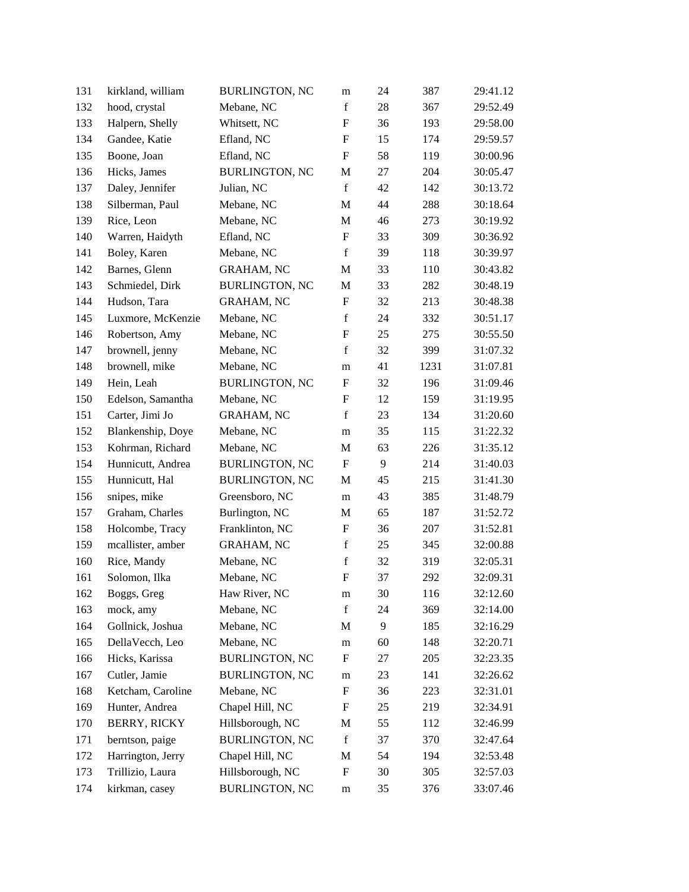| 131 | kirkland, william   | <b>BURLINGTON, NC</b> | m                         | 24 | 387  | 29:41.12 |
|-----|---------------------|-----------------------|---------------------------|----|------|----------|
| 132 | hood, crystal       | Mebane, NC            | $\mathbf f$               | 28 | 367  | 29:52.49 |
| 133 | Halpern, Shelly     | Whitsett, NC          | $\boldsymbol{\mathrm{F}}$ | 36 | 193  | 29:58.00 |
| 134 | Gandee, Katie       | Efland, NC            | F                         | 15 | 174  | 29:59.57 |
| 135 | Boone, Joan         | Efland, NC            | $\boldsymbol{\mathrm{F}}$ | 58 | 119  | 30:00.96 |
| 136 | Hicks, James        | <b>BURLINGTON, NC</b> | M                         | 27 | 204  | 30:05.47 |
| 137 | Daley, Jennifer     | Julian, NC            | $\mathbf f$               | 42 | 142  | 30:13.72 |
| 138 | Silberman, Paul     | Mebane, NC            | M                         | 44 | 288  | 30:18.64 |
| 139 | Rice, Leon          | Mebane, NC            | M                         | 46 | 273  | 30:19.92 |
| 140 | Warren, Haidyth     | Efland, NC            | $\boldsymbol{\mathrm{F}}$ | 33 | 309  | 30:36.92 |
| 141 | Boley, Karen        | Mebane, NC            | $\mathbf f$               | 39 | 118  | 30:39.97 |
| 142 | Barnes, Glenn       | GRAHAM, NC            | M                         | 33 | 110  | 30:43.82 |
| 143 | Schmiedel, Dirk     | <b>BURLINGTON, NC</b> | M                         | 33 | 282  | 30:48.19 |
| 144 | Hudson, Tara        | <b>GRAHAM, NC</b>     | $\mathbf F$               | 32 | 213  | 30:48.38 |
| 145 | Luxmore, McKenzie   | Mebane, NC            | $\mathbf f$               | 24 | 332  | 30:51.17 |
| 146 | Robertson, Amy      | Mebane, NC            | F                         | 25 | 275  | 30:55.50 |
| 147 | brownell, jenny     | Mebane, NC            | $\mathbf f$               | 32 | 399  | 31:07.32 |
| 148 | brownell, mike      | Mebane, NC            | m                         | 41 | 1231 | 31:07.81 |
| 149 | Hein, Leah          | <b>BURLINGTON, NC</b> | $\boldsymbol{F}$          | 32 | 196  | 31:09.46 |
| 150 | Edelson, Samantha   | Mebane, NC            | $\boldsymbol{\mathrm{F}}$ | 12 | 159  | 31:19.95 |
| 151 | Carter, Jimi Jo     | <b>GRAHAM, NC</b>     | $\mathbf f$               | 23 | 134  | 31:20.60 |
| 152 | Blankenship, Doye   | Mebane, NC            | m                         | 35 | 115  | 31:22.32 |
| 153 | Kohrman, Richard    | Mebane, NC            | M                         | 63 | 226  | 31:35.12 |
| 154 | Hunnicutt, Andrea   | <b>BURLINGTON, NC</b> | F                         | 9  | 214  | 31:40.03 |
| 155 | Hunnicutt, Hal      | <b>BURLINGTON, NC</b> | M                         | 45 | 215  | 31:41.30 |
| 156 | snipes, mike        | Greensboro, NC        | m                         | 43 | 385  | 31:48.79 |
| 157 | Graham, Charles     | Burlington, NC        | M                         | 65 | 187  | 31:52.72 |
| 158 | Holcombe, Tracy     | Franklinton, NC       | $\boldsymbol{\mathrm{F}}$ | 36 | 207  | 31:52.81 |
| 159 | mcallister, amber   | <b>GRAHAM, NC</b>     | $\mathbf f$               | 25 | 345  | 32:00.88 |
| 160 | Rice, Mandy         | Mebane, NC            | $\mathbf f$               | 32 | 319  | 32:05.31 |
| 161 | Solomon, Ilka       | Mebane, NC            | $\mathbf F$               | 37 | 292  | 32:09.31 |
| 162 | Boggs, Greg         | Haw River, NC         | m                         | 30 | 116  | 32:12.60 |
| 163 | mock, amy           | Mebane, NC            | $\mathbf f$               | 24 | 369  | 32:14.00 |
| 164 | Gollnick, Joshua    | Mebane, NC            | M                         | 9  | 185  | 32:16.29 |
| 165 | DellaVecch, Leo     | Mebane, NC            | m                         | 60 | 148  | 32:20.71 |
| 166 | Hicks, Karissa      | <b>BURLINGTON, NC</b> | $\mathbf F$               | 27 | 205  | 32:23.35 |
| 167 | Cutler, Jamie       | <b>BURLINGTON, NC</b> | m                         | 23 | 141  | 32:26.62 |
| 168 | Ketcham, Caroline   | Mebane, NC            | $\boldsymbol{\mathrm{F}}$ | 36 | 223  | 32:31.01 |
| 169 | Hunter, Andrea      | Chapel Hill, NC       | $\boldsymbol{F}$          | 25 | 219  | 32:34.91 |
| 170 | <b>BERRY, RICKY</b> | Hillsborough, NC      | M                         | 55 | 112  | 32:46.99 |
| 171 | berntson, paige     | <b>BURLINGTON, NC</b> | $\mathbf f$               | 37 | 370  | 32:47.64 |
| 172 | Harrington, Jerry   | Chapel Hill, NC       | M                         | 54 | 194  | 32:53.48 |
| 173 | Trillizio, Laura    | Hillsborough, NC      | $\boldsymbol{\mathrm{F}}$ | 30 | 305  | 32:57.03 |
| 174 | kirkman, casey      | <b>BURLINGTON, NC</b> | m                         | 35 | 376  | 33:07.46 |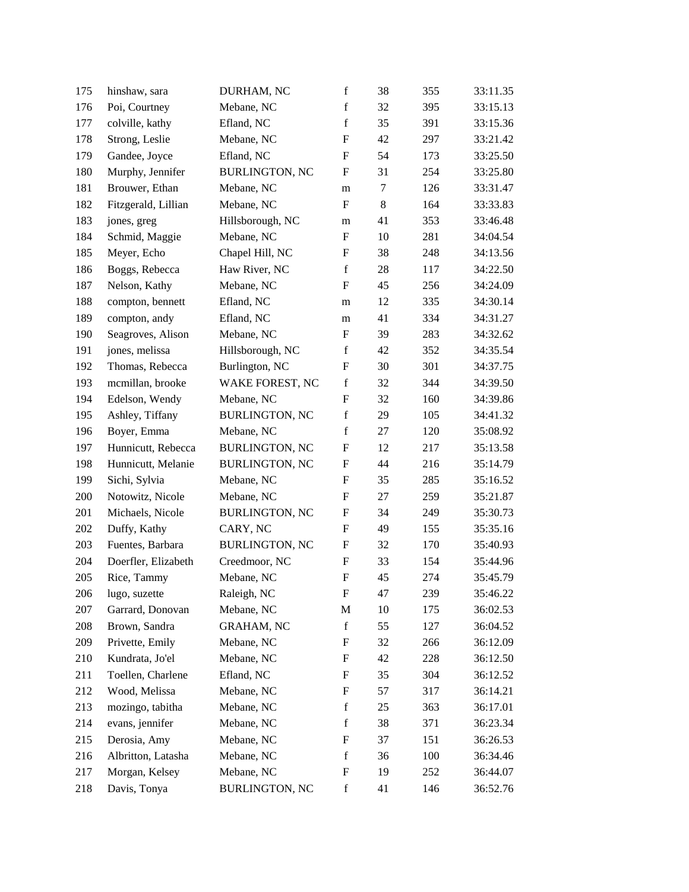| 175 | hinshaw, sara       | DURHAM, NC            | $\mathbf f$               | 38 | 355 | 33:11.35 |
|-----|---------------------|-----------------------|---------------------------|----|-----|----------|
| 176 | Poi, Courtney       | Mebane, NC            | $\mathbf f$               | 32 | 395 | 33:15.13 |
| 177 | colville, kathy     | Efland, NC            | $\mathbf f$               | 35 | 391 | 33:15.36 |
| 178 | Strong, Leslie      | Mebane, NC            | $\boldsymbol{\mathrm{F}}$ | 42 | 297 | 33:21.42 |
| 179 | Gandee, Joyce       | Efland, NC            | $\boldsymbol{\mathrm{F}}$ | 54 | 173 | 33:25.50 |
| 180 | Murphy, Jennifer    | <b>BURLINGTON, NC</b> | $\boldsymbol{\mathrm{F}}$ | 31 | 254 | 33:25.80 |
| 181 | Brouwer, Ethan      | Mebane, NC            | m                         | 7  | 126 | 33:31.47 |
| 182 | Fitzgerald, Lillian | Mebane, NC            | $\mathbf F$               | 8  | 164 | 33:33.83 |
| 183 | jones, greg         | Hillsborough, NC      | m                         | 41 | 353 | 33:46.48 |
| 184 | Schmid, Maggie      | Mebane, NC            | $\boldsymbol{\mathrm{F}}$ | 10 | 281 | 34:04.54 |
| 185 | Meyer, Echo         | Chapel Hill, NC       | $\boldsymbol{\mathrm{F}}$ | 38 | 248 | 34:13.56 |
| 186 | Boggs, Rebecca      | Haw River, NC         | $\mathbf f$               | 28 | 117 | 34:22.50 |
| 187 | Nelson, Kathy       | Mebane, NC            | $\boldsymbol{\mathrm{F}}$ | 45 | 256 | 34:24.09 |
| 188 | compton, bennett    | Efland, NC            | m                         | 12 | 335 | 34:30.14 |
| 189 | compton, andy       | Efland, NC            | m                         | 41 | 334 | 34:31.27 |
| 190 | Seagroves, Alison   | Mebane, NC            | F                         | 39 | 283 | 34:32.62 |
| 191 | jones, melissa      | Hillsborough, NC      | $\mathbf f$               | 42 | 352 | 34:35.54 |
| 192 | Thomas, Rebecca     | Burlington, NC        | ${\bf F}$                 | 30 | 301 | 34:37.75 |
| 193 | mcmillan, brooke    | WAKE FOREST, NC       | $\mathbf f$               | 32 | 344 | 34:39.50 |
| 194 | Edelson, Wendy      | Mebane, NC            | $\boldsymbol{\mathrm{F}}$ | 32 | 160 | 34:39.86 |
| 195 | Ashley, Tiffany     | <b>BURLINGTON, NC</b> | $\mathbf f$               | 29 | 105 | 34:41.32 |
| 196 | Boyer, Emma         | Mebane, NC            | $\mathbf f$               | 27 | 120 | 35:08.92 |
| 197 | Hunnicutt, Rebecca  | <b>BURLINGTON, NC</b> | $\boldsymbol{\mathrm{F}}$ | 12 | 217 | 35:13.58 |
| 198 | Hunnicutt, Melanie  | <b>BURLINGTON, NC</b> | $\boldsymbol{F}$          | 44 | 216 | 35:14.79 |
| 199 | Sichi, Sylvia       | Mebane, NC            | ${\bf F}$                 | 35 | 285 | 35:16.52 |
| 200 | Notowitz, Nicole    | Mebane, NC            | $\boldsymbol{\mathrm{F}}$ | 27 | 259 | 35:21.87 |
| 201 | Michaels, Nicole    | <b>BURLINGTON, NC</b> | $\boldsymbol{F}$          | 34 | 249 | 35:30.73 |
| 202 | Duffy, Kathy        | CARY, NC              | $\boldsymbol{\mathrm{F}}$ | 49 | 155 | 35:35.16 |
| 203 | Fuentes, Barbara    | <b>BURLINGTON, NC</b> | $\mathbf F$               | 32 | 170 | 35:40.93 |
| 204 | Doerfler, Elizabeth | Creedmoor, NC         | ${\bf F}$                 | 33 | 154 | 35:44.96 |
| 205 | Rice, Tammy         | Mebane, NC            | $\boldsymbol{\mathrm{F}}$ | 45 | 274 | 35:45.79 |
| 206 | lugo, suzette       | Raleigh, NC           | F                         | 47 | 239 | 35:46.22 |
| 207 | Garrard, Donovan    | Mebane, NC            | $\mathbf M$               | 10 | 175 | 36:02.53 |
| 208 | Brown, Sandra       | <b>GRAHAM, NC</b>     | $\mathbf f$               | 55 | 127 | 36:04.52 |
| 209 | Privette, Emily     | Mebane, NC            | F                         | 32 | 266 | 36:12.09 |
| 210 | Kundrata, Jo'el     | Mebane, NC            | $\boldsymbol{\mathrm{F}}$ | 42 | 228 | 36:12.50 |
| 211 | Toellen, Charlene   | Efland, NC            | $\mathbf F$               | 35 | 304 | 36:12.52 |
| 212 | Wood, Melissa       | Mebane, NC            | ${\bf F}$                 | 57 | 317 | 36:14.21 |
| 213 | mozingo, tabitha    | Mebane, NC            | $\mathbf f$               | 25 | 363 | 36:17.01 |
| 214 | evans, jennifer     | Mebane, NC            | $\mathbf f$               | 38 | 371 | 36:23.34 |
| 215 | Derosia, Amy        | Mebane, NC            | $\boldsymbol{\mathrm{F}}$ | 37 | 151 | 36:26.53 |
| 216 | Albritton, Latasha  | Mebane, NC            | $\mathbf f$               | 36 | 100 | 36:34.46 |
| 217 | Morgan, Kelsey      | Mebane, NC            | ${\bf F}$                 | 19 | 252 | 36:44.07 |
| 218 | Davis, Tonya        | <b>BURLINGTON, NC</b> | $\mathbf f$               | 41 | 146 | 36:52.76 |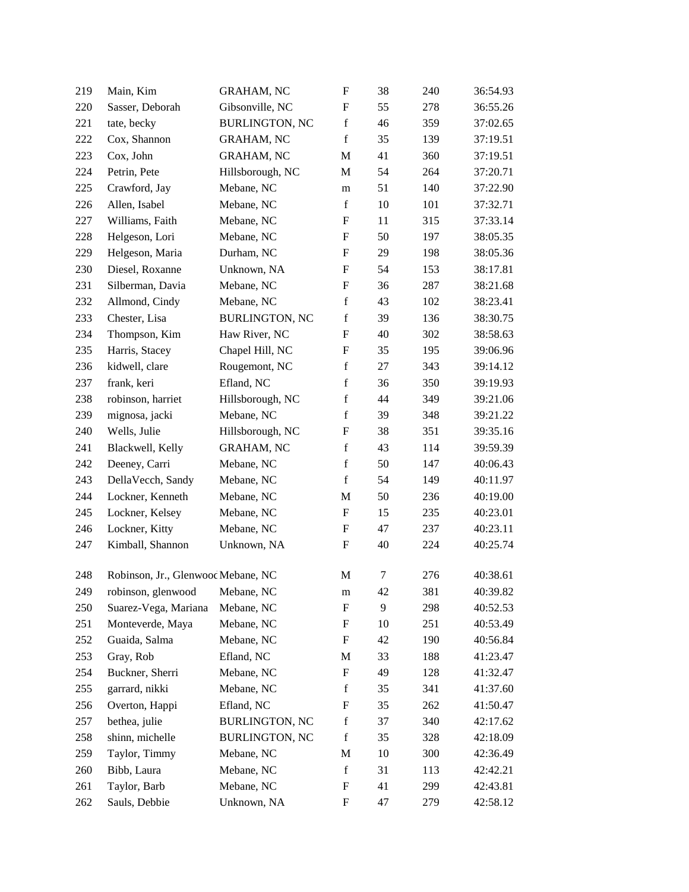| 219 | Main, Kim                          | <b>GRAHAM, NC</b>     | ${\bf F}$                 | 38               | 240 | 36:54.93 |
|-----|------------------------------------|-----------------------|---------------------------|------------------|-----|----------|
| 220 | Sasser, Deborah                    | Gibsonville, NC       | $\boldsymbol{F}$          | 55               | 278 | 36:55.26 |
| 221 | tate, becky                        | <b>BURLINGTON, NC</b> | $\mathbf f$               | 46               | 359 | 37:02.65 |
| 222 | Cox, Shannon                       | <b>GRAHAM, NC</b>     | $\mathbf f$               | 35               | 139 | 37:19.51 |
| 223 | Cox, John                          | <b>GRAHAM, NC</b>     | M                         | 41               | 360 | 37:19.51 |
| 224 | Petrin, Pete                       | Hillsborough, NC      | M                         | 54               | 264 | 37:20.71 |
| 225 | Crawford, Jay                      | Mebane, NC            | m                         | 51               | 140 | 37:22.90 |
| 226 | Allen, Isabel                      | Mebane, NC            | $\mathbf f$               | 10               | 101 | 37:32.71 |
| 227 | Williams, Faith                    | Mebane, NC            | ${\rm F}$                 | 11               | 315 | 37:33.14 |
| 228 | Helgeson, Lori                     | Mebane, NC            | $\boldsymbol{F}$          | 50               | 197 | 38:05.35 |
| 229 | Helgeson, Maria                    | Durham, NC            | $\boldsymbol{\mathrm{F}}$ | 29               | 198 | 38:05.36 |
| 230 | Diesel, Roxanne                    | Unknown, NA           | $\boldsymbol{F}$          | 54               | 153 | 38:17.81 |
| 231 | Silberman, Davia                   | Mebane, NC            | $\boldsymbol{\mathrm{F}}$ | 36               | 287 | 38:21.68 |
| 232 | Allmond, Cindy                     | Mebane, NC            | $\mathbf f$               | 43               | 102 | 38:23.41 |
| 233 | Chester, Lisa                      | <b>BURLINGTON, NC</b> | $\mathbf f$               | 39               | 136 | 38:30.75 |
| 234 | Thompson, Kim                      | Haw River, NC         | $\boldsymbol{\mathrm{F}}$ | 40               | 302 | 38:58.63 |
| 235 | Harris, Stacey                     | Chapel Hill, NC       | ${\rm F}$                 | 35               | 195 | 39:06.96 |
| 236 | kidwell, clare                     | Rougemont, NC         | $\mathbf f$               | 27               | 343 | 39:14.12 |
| 237 | frank, keri                        | Efland, NC            | $\mathbf f$               | 36               | 350 | 39:19.93 |
| 238 | robinson, harriet                  | Hillsborough, NC      | $\mathbf f$               | 44               | 349 | 39:21.06 |
| 239 | mignosa, jacki                     | Mebane, NC            | $\mathbf f$               | 39               | 348 | 39:21.22 |
| 240 | Wells, Julie                       | Hillsborough, NC      | ${\rm F}$                 | 38               | 351 | 39:35.16 |
| 241 | Blackwell, Kelly                   | <b>GRAHAM, NC</b>     | $\mathbf f$               | 43               | 114 | 39:59.39 |
| 242 | Deeney, Carri                      | Mebane, NC            | $\mathbf f$               | 50               | 147 | 40:06.43 |
| 243 | DellaVecch, Sandy                  | Mebane, NC            | $\mathbf f$               | 54               | 149 | 40:11.97 |
| 244 | Lockner, Kenneth                   | Mebane, NC            | M                         | 50               | 236 | 40:19.00 |
| 245 | Lockner, Kelsey                    | Mebane, NC            | ${\rm F}$                 | 15               | 235 | 40:23.01 |
| 246 | Lockner, Kitty                     | Mebane, NC            | ${\rm F}$                 | 47               | 237 | 40:23.11 |
| 247 | Kimball, Shannon                   | Unknown, NA           | $\boldsymbol{F}$          | 40               | 224 | 40:25.74 |
| 248 | Robinson, Jr., Glenwood Mebane, NC |                       | M                         | $\boldsymbol{7}$ | 276 | 40:38.61 |
| 249 | robinson, glenwood Mebane, NC      |                       | m                         | 42               | 381 | 40:39.82 |
| 250 | Suarez-Vega, Mariana               | Mebane, NC            | ${\rm F}$                 | 9                | 298 | 40:52.53 |
| 251 | Monteverde, Maya                   | Mebane, NC            | $\boldsymbol{\mathrm{F}}$ | 10               | 251 | 40:53.49 |
| 252 | Guaida, Salma                      | Mebane, NC            | $\boldsymbol{F}$          | 42               | 190 | 40:56.84 |
| 253 | Gray, Rob                          | Efland, NC            | M                         | 33               | 188 | 41:23.47 |
| 254 | Buckner, Sherri                    | Mebane, NC            | ${\rm F}$                 | 49               | 128 | 41:32.47 |
| 255 | garrard, nikki                     | Mebane, NC            | $\mathbf f$               | 35               | 341 | 41:37.60 |
| 256 | Overton, Happi                     | Efland, NC            | $\boldsymbol{F}$          | 35               | 262 | 41:50.47 |
| 257 | bethea, julie                      | <b>BURLINGTON, NC</b> | $\mathbf f$               | 37               | 340 | 42:17.62 |
| 258 | shinn, michelle                    | <b>BURLINGTON, NC</b> | $\mathbf f$               | 35               | 328 | 42:18.09 |
| 259 | Taylor, Timmy                      | Mebane, NC            | M                         | 10               | 300 | 42:36.49 |
| 260 | Bibb, Laura                        | Mebane, NC            | $\mathbf f$               | 31               | 113 | 42:42.21 |
| 261 | Taylor, Barb                       | Mebane, NC            | $\boldsymbol{F}$          | 41               | 299 | 42:43.81 |
| 262 | Sauls, Debbie                      | Unknown, NA           | $\boldsymbol{F}$          | 47               | 279 | 42:58.12 |
|     |                                    |                       |                           |                  |     |          |